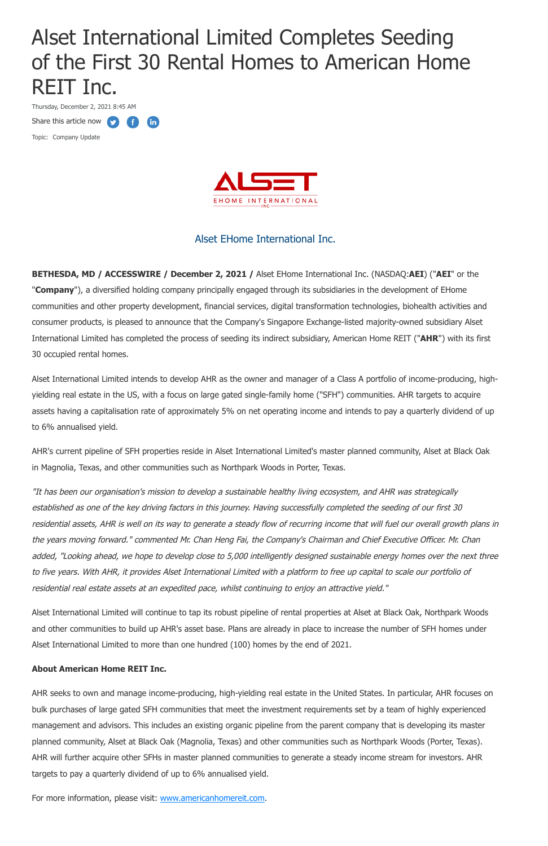# Alset International Limited Completes Seeding of the First 30 Rental Homes to American Home REIT Inc.

Thursday, December 2, 2021 8:45 AM

G

 $(n)$ 

Share this article now **the state** 

Topic: Company Update



# Alset EHome International Inc.

**BETHESDA, MD / ACCESSWIRE / December 2, 2021 /** Alset EHome International Inc. (NASDAQ:**AEI**) ("**AEI**" or the "**Company**"), a diversified holding company principally engaged through its subsidiaries in the development of EHome communities and other property development, financial services, digital transformation technologies, biohealth activities and consumer products, is pleased to announce that the Company's Singapore Exchange-listed majority-owned subsidiary Alset International Limited has completed the process of seeding its indirect subsidiary, American Home REIT ("**AHR**") with its first 30 occupied rental homes.

Alset International Limited intends to develop AHR as the owner and manager of a Class A portfolio of income-producing, highyielding real estate in the US, with a focus on large gated single-family home ("SFH") communities. AHR targets to acquire assets having a capitalisation rate of approximately 5% on net operating income and intends to pay a quarterly dividend of up to 6% annualised yield.

AHR's current pipeline of SFH properties reside in Alset International Limited's master planned community, Alset at Black Oak in Magnolia, Texas, and other communities such as Northpark Woods in Porter, Texas.

"It has been our organisation's mission to develop a sustainable healthy living ecosystem, and AHR was strategically established as one of the key driving factors in this journey. Having successfully completed the seeding of our first 30 residential assets, AHR is well on its way to generate a steady flow of recurring income that will fuel our overall growth plans in the years moving forward." commented Mr. Chan Heng Fai, the Company's Chairman and Chief Executive Officer. Mr. Chan added, "Looking ahead, we hope to develop close to 5,000 intelligently designed sustainable energy homes over the next three to five years. With AHR, it provides Alset International Limited with a platform to free up capital to scale our portfolio of residential real estate assets at an expedited pace, whilst continuing to enjoy an attractive yield."

Alset International Limited will continue to tap its robust pipeline of rental properties at Alset at Black Oak, Northpark Woods

and other communities to build up AHR's asset base. Plans are already in place to increase the number of SFH homes under Alset International Limited to more than one hundred (100) homes by the end of 2021.

## **About American Home REIT Inc.**

AHR seeks to own and manage income-producing, high-yielding real estate in the United States. In particular, AHR focuses on bulk purchases of large gated SFH communities that meet the investment requirements set by a team of highly experienced management and advisors. This includes an existing organic pipeline from the parent company that is developing its master planned community, Alset at Black Oak (Magnolia, Texas) and other communities such as Northpark Woods (Porter, Texas). AHR will further acquire other SFHs in master planned communities to generate a steady income stream for investors. AHR targets to pay a quarterly dividend of up to 6% annualised yield.

For more information, please visit: [www.americanhomereit.com.](https://pr.report/f4PwtceS)